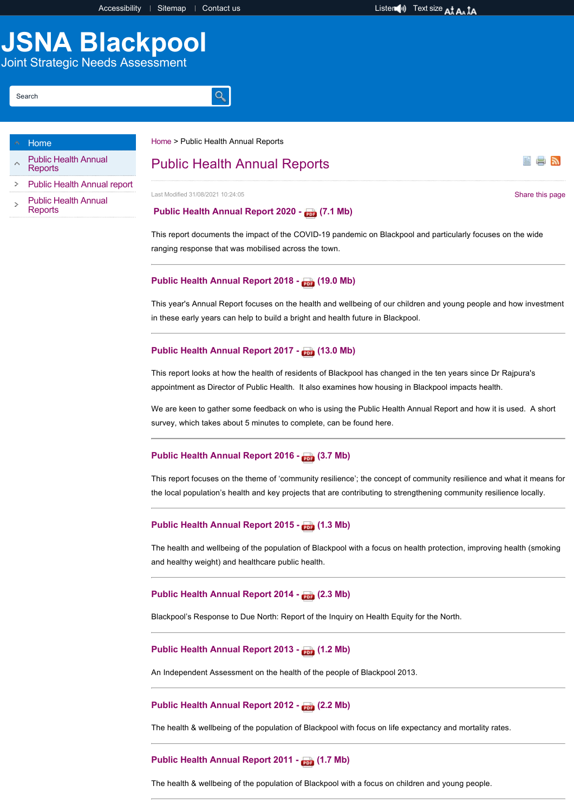e n

# **JSNA Blackpool**

Joint Strategic Needs Assessment

#### Search

#### [Home](http://www.blackpooljsna.org.uk/Home.aspx)

- [Public Health Annual](http://www.blackpooljsna.org.uk/Public-Health-Annual-Reports/Public-Health-Annual-Reports.aspx) **Reports**
- [Public Health Annual report](https://healthierblackpool.co.uk/healthier-blackpool/%20)
- [Public Health Annual](http://www.blackpooljsna.org.uk/Public-Health-Annual-Reports/Public-Health-Annual-Reports.aspx) **Reports**

#### [Home](http://www.blackpooljsna.org.uk/Home.aspx) > Public Health Annual Reports

 $\alpha$ 

# Public Health Annual Reports

Last Modified 31/08/2021 10:24:05 [Share this page](https://www.addthis.com/bookmark.php?v=250&pubid=xa-502e5fd570edcb1e) of the state of the state of the state of the state of the state of the state of the state of the state of the state of the state of the state of the state of the state of

#### **[Public Health Annual Report 2020 - \(7.1 Mb\)](http://www.blackpooljsna.org.uk/Documents/Public-Health-Annual-Reports/Public-Health-Annual-Report-2020-Pages-compressed.pdf)**

This report documents the impact of the COVID-19 pandemic on Blackpool and particularly focuses on the wide ranging response that was mobilised across the town.

#### [Public Health Annual Report 2018 - \(19.0 Mb\)](http://www.blackpooljsna.org.uk/Documents/Public-Health-Annual-Reports/Blackpool-PHAR-2018.pdf)

This year's Annual Report focuses on the health and wellbeing of our children and young people and how investment in these early years can help to build a bright and health future in Blackpool.

# [Public Health Annual Report 2017 - \(13.0 Mb\)](http://www.blackpooljsna.org.uk/Documents/Public-Health-Annual-Reports/Public-Health-Annual-Report-2017.pdf)

This report looks at how the health of residents of Blackpool has changed in the ten years since Dr Rajpura's appointment as Director of Public Health. It also examines how housing in Blackpool impacts health.

We are keen to gather some feedback on who is using the Public Health Annual Report and how it is used. A short survey, which takes about 5 minutes to complete, can be found here.

# [Public Health Annual Report 2016](http://www.blackpooljsna.org.uk/Documents/Public-Health-Annual-Reports/Public-Health-Annual-Report-2016.pdf) - (3.7 Mb)

This report focuses on the theme of 'community resilience'; the concept of community resilience and what it means for the local population's health and key projects that are contributing to strengthening community resilience locally.

#### [Public Health Annual Report 2015](http://www.blackpooljsna.org.uk/Documents/Public-Health-Annual-Reports/Public-Health-Annual-Report-2015.pdf) - (1.3 Mb)

The health and wellbeing of the population of Blackpool with a focus on health protection, improving health (smoking and healthy weight) and healthcare public health.

#### [Public Health Annual Report 2014 - \(2.3 Mb\)](http://www.blackpooljsna.org.uk/Documents/Public-Health-Annual-Reports/Public-Health-Annual-Report-2014.pdf)

Blackpool's Response to Due North: Report of the Inquiry on Health Equity for the North.

## [Public Health Annual Report 2013 - \(1.2 Mb\)](http://www.blackpooljsna.org.uk/Documents/Public-Health-Annual-Reports/Public-Health-Annual-Report-2013.pdf)

An Independent Assessment on the health of the people of Blackpool 2013.

#### Public Health Annual Report 2012 - **(2.2 Mb)**

The health & wellbeing of the population of Blackpool with focus on life expectancy and mortality rates.

#### Public Health Annual Report 2011 - **(1.7 Mb)**

The health & wellbeing of the population of Blackpool with a focus on children and young people.